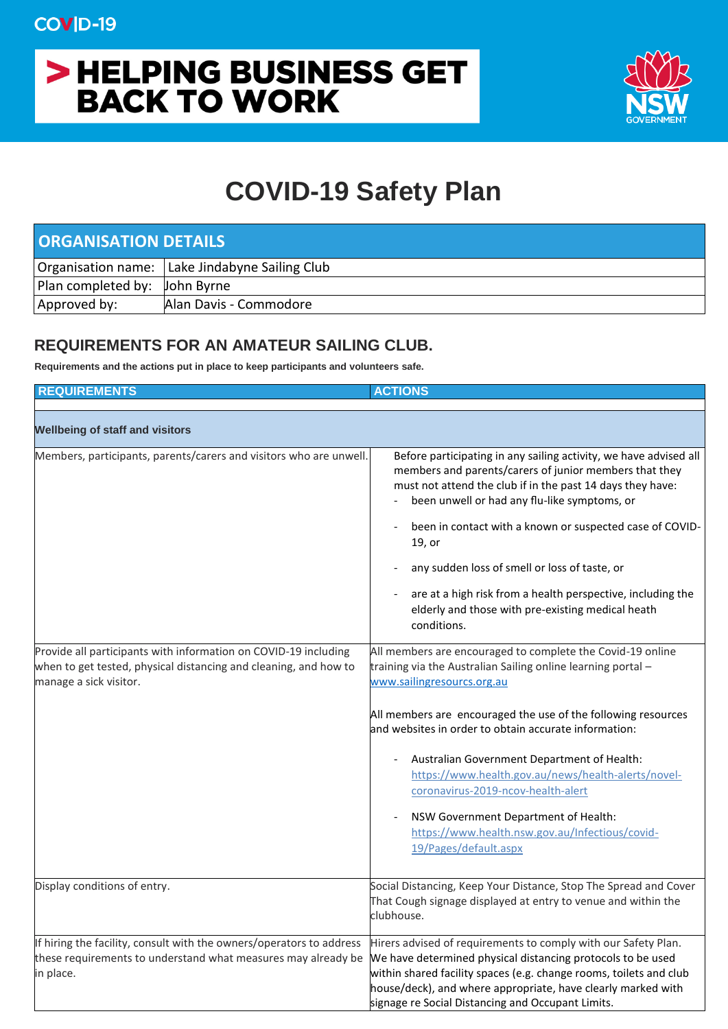## > HELPING BUSINESS GET **BACK TO WORK**



## **COVID-19 Safety Plan**

| <b>ORGANISATION DETAILS</b>          |                                                |  |
|--------------------------------------|------------------------------------------------|--|
|                                      | Organisation name: Lake Jindabyne Sailing Club |  |
| <b>Plan completed by:</b> John Byrne |                                                |  |
| Approved by:                         | Alan Davis - Commodore                         |  |

## **REQUIREMENTS FOR AN AMATEUR SAILING CLUB.**

**Requirements and the actions put in place to keep participants and volunteers safe.**

| <b>REQUIREMENTS</b>                                                                                                                                           | <b>ACTIONS</b>                                                                                                                                                                                                                                                                                                                                                                                                                                                                                                                                     |
|---------------------------------------------------------------------------------------------------------------------------------------------------------------|----------------------------------------------------------------------------------------------------------------------------------------------------------------------------------------------------------------------------------------------------------------------------------------------------------------------------------------------------------------------------------------------------------------------------------------------------------------------------------------------------------------------------------------------------|
| <b>Wellbeing of staff and visitors</b>                                                                                                                        |                                                                                                                                                                                                                                                                                                                                                                                                                                                                                                                                                    |
| Members, participants, parents/carers and visitors who are unwell.                                                                                            | Before participating in any sailing activity, we have advised all<br>members and parents/carers of junior members that they<br>must not attend the club if in the past 14 days they have:<br>been unwell or had any flu-like symptoms, or<br>been in contact with a known or suspected case of COVID-<br>19, or<br>any sudden loss of smell or loss of taste, or<br>are at a high risk from a health perspective, including the<br>elderly and those with pre-existing medical heath<br>conditions.                                                |
| Provide all participants with information on COVID-19 including<br>when to get tested, physical distancing and cleaning, and how to<br>manage a sick visitor. | All members are encouraged to complete the Covid-19 online<br>training via the Australian Sailing online learning portal -<br>www.sailingresourcs.org.au<br>All members are encouraged the use of the following resources<br>and websites in order to obtain accurate information:<br>Australian Government Department of Health:<br>https://www.health.gov.au/news/health-alerts/novel-<br>coronavirus-2019-ncov-health-alert<br>NSW Government Department of Health:<br>https://www.health.nsw.gov.au/Infectious/covid-<br>19/Pages/default.aspx |
| Display conditions of entry.                                                                                                                                  | Social Distancing, Keep Your Distance, Stop The Spread and Cover<br>That Cough signage displayed at entry to venue and within the<br>clubhouse.                                                                                                                                                                                                                                                                                                                                                                                                    |
| If hiring the facility, consult with the owners/operators to address<br>these requirements to understand what measures may already be<br>in place.            | Hirers advised of requirements to comply with our Safety Plan.<br>We have determined physical distancing protocols to be used<br>within shared facility spaces (e.g. change rooms, toilets and club<br>house/deck), and where appropriate, have clearly marked with<br>signage re Social Distancing and Occupant Limits.                                                                                                                                                                                                                           |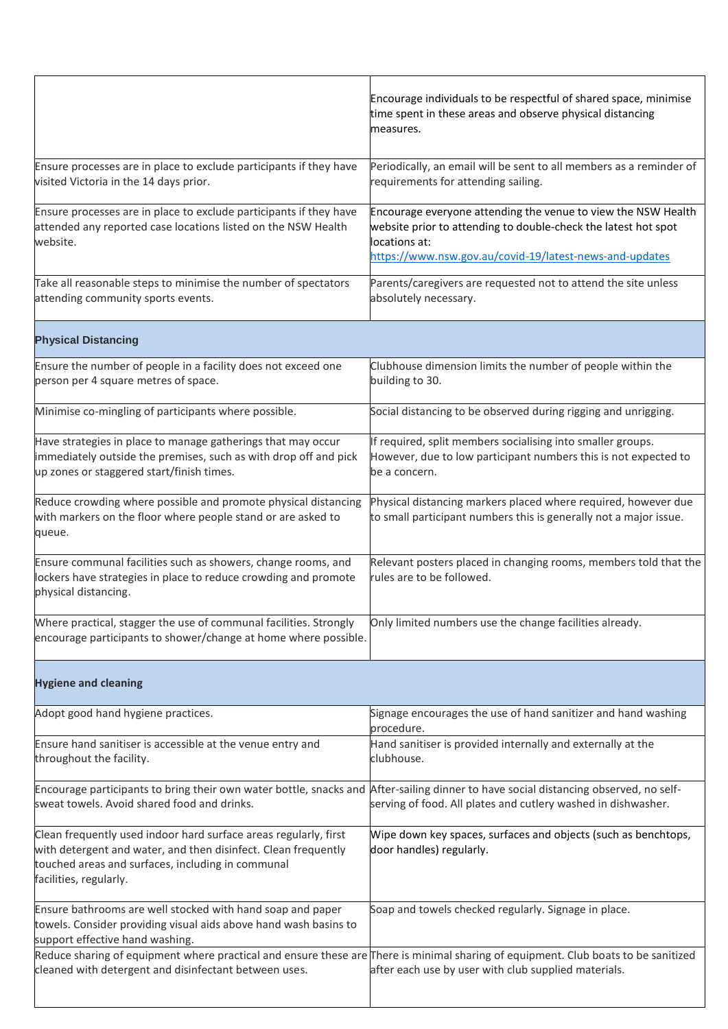|                                                                                                                                                                                                                   | Encourage individuals to be respectful of shared space, minimise<br>time spent in these areas and observe physical distancing<br>measures.                                                                  |
|-------------------------------------------------------------------------------------------------------------------------------------------------------------------------------------------------------------------|-------------------------------------------------------------------------------------------------------------------------------------------------------------------------------------------------------------|
|                                                                                                                                                                                                                   |                                                                                                                                                                                                             |
| Ensure processes are in place to exclude participants if they have<br>visited Victoria in the 14 days prior.                                                                                                      | Periodically, an email will be sent to all members as a reminder of<br>requirements for attending sailing.                                                                                                  |
| Ensure processes are in place to exclude participants if they have<br>attended any reported case locations listed on the NSW Health<br>website.                                                                   | Encourage everyone attending the venue to view the NSW Health<br>website prior to attending to double-check the latest hot spot<br>locations at:<br>https://www.nsw.gov.au/covid-19/latest-news-and-updates |
| Take all reasonable steps to minimise the number of spectators<br>attending community sports events.                                                                                                              | Parents/caregivers are requested not to attend the site unless<br>absolutely necessary.                                                                                                                     |
| <b>Physical Distancing</b>                                                                                                                                                                                        |                                                                                                                                                                                                             |
| Ensure the number of people in a facility does not exceed one<br>person per 4 square metres of space.                                                                                                             | Clubhouse dimension limits the number of people within the<br>building to 30.                                                                                                                               |
| Minimise co-mingling of participants where possible.                                                                                                                                                              | Social distancing to be observed during rigging and unrigging.                                                                                                                                              |
| Have strategies in place to manage gatherings that may occur<br>immediately outside the premises, such as with drop off and pick<br>up zones or staggered start/finish times.                                     | If required, split members socialising into smaller groups.<br>However, due to low participant numbers this is not expected to<br>be a concern.                                                             |
| Reduce crowding where possible and promote physical distancing<br>with markers on the floor where people stand or are asked to<br>queue.                                                                          | Physical distancing markers placed where required, however due<br>to small participant numbers this is generally not a major issue.                                                                         |
| Ensure communal facilities such as showers, change rooms, and<br>lockers have strategies in place to reduce crowding and promote<br>physical distancing.                                                          | Relevant posters placed in changing rooms, members told that the<br>rules are to be followed.                                                                                                               |
| Where practical, stagger the use of communal facilities. Strongly<br>encourage participants to shower/change at home where possible.                                                                              | Only limited numbers use the change facilities already.                                                                                                                                                     |
| <b>Hygiene and cleaning</b>                                                                                                                                                                                       |                                                                                                                                                                                                             |
| Adopt good hand hygiene practices.                                                                                                                                                                                | Signage encourages the use of hand sanitizer and hand washing<br>procedure.                                                                                                                                 |
| Ensure hand sanitiser is accessible at the venue entry and<br>throughout the facility.                                                                                                                            | Hand sanitiser is provided internally and externally at the<br>clubhouse.                                                                                                                                   |
| Encourage participants to bring their own water bottle, snacks and After-sailing dinner to have social distancing observed, no self-<br>sweat towels. Avoid shared food and drinks.                               | serving of food. All plates and cutlery washed in dishwasher.                                                                                                                                               |
| Clean frequently used indoor hard surface areas regularly, first<br>with detergent and water, and then disinfect. Clean frequently<br>touched areas and surfaces, including in communal<br>facilities, regularly. | Wipe down key spaces, surfaces and objects (such as benchtops,<br>door handles) regularly.                                                                                                                  |
| Ensure bathrooms are well stocked with hand soap and paper<br>towels. Consider providing visual aids above hand wash basins to<br>support effective hand washing.                                                 | Soap and towels checked regularly. Signage in place.                                                                                                                                                        |
| Reduce sharing of equipment where practical and ensure these are There is minimal sharing of equipment. Club boats to be sanitized<br>cleaned with detergent and disinfectant between uses.                       | after each use by user with club supplied materials.                                                                                                                                                        |